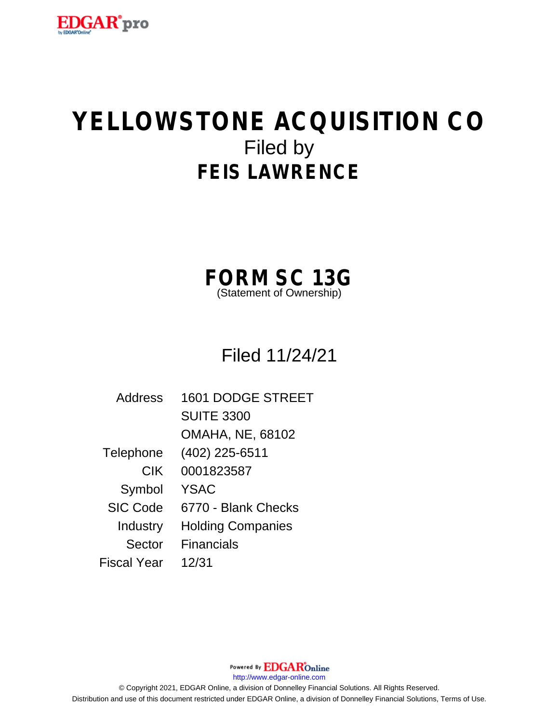

# **YELLOWSTONE ACQUISITION CO** Filed by **FEIS LAWRENCE**

**FORM SC 13G**

(Statement of Ownership)

Filed 11/24/21

| Address         | <b>1601 DODGE STREET</b> |
|-----------------|--------------------------|
|                 | <b>SUITE 3300</b>        |
|                 | <b>OMAHA, NE, 68102</b>  |
| Telephone       | (402) 225-6511           |
| <b>CIK</b>      | 0001823587               |
| Symbol          | <b>YSAC</b>              |
| <b>SIC Code</b> | 6770 - Blank Checks      |
| Industry        | <b>Holding Companies</b> |
| Sector          | <b>Financials</b>        |
| Fiscal Year     | 12/31                    |

Powered By **EDGAR**Online http://www.edgar-online.com © Copyright 2021, EDGAR Online, a division of Donnelley Financial Solutions. All Rights Reserved. Distribution and use of this document restricted under EDGAR Online, a division of Donnelley Financial Solutions, Terms of Use.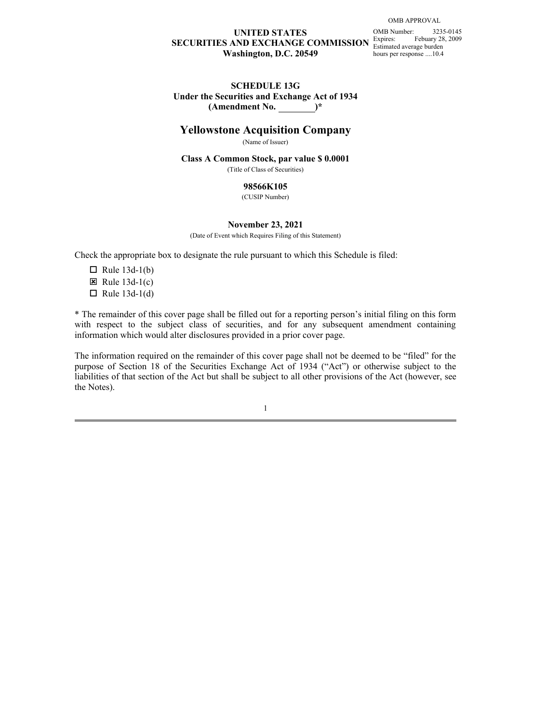## **UNITED STATES** OMB Number: 3235-0145 **SECURITIES AND EXCHANGE COMMISSION** Estimated average burden **Washington, D.C. 20549**

hours per response ....10.4 OMB Number: Expires: Febuary 28, 2009

#### **SCHEDULE 13G Under the Securities and Exchange Act of 1934 (Amendment No. )\***

## **Yellowstone Acquisition Company**

(Name of Issuer)

#### **Class A Common Stock, par value \$ 0.0001**

(Title of Class of Securities)

#### **98566K105**

(CUSIP Number)

#### **November 23, 2021**

(Date of Event which Requires Filing of this Statement)

Check the appropriate box to designate the rule pursuant to which this Schedule is filed:

- $\Box$  Rule 13d-1(b) E Rule  $13d-1(c)$
- $\Box$  Rule 13d-1(d)

\* The remainder of this cover page shall be filled out for a reporting person's initial filing on this form information which would alter disclosures provided in a prior cover page.

WITED STATES<br>
SECURITIES AND EXCHANGE COMMISSION  $\sum_{\text{boundary}}^{\text{DDSR}}$  (North amendment 225.015)<br>
Washington, D.C. 20549<br>
Washington, D.C. 20549<br>
Under the securities and F.celass of any subsequent amendment comparison<br>
Chas The information required on the remainder of this cover page shall not be deemed to be "filed" for the **EXECURITIES STATES**<br> **PURPOSE ACTIVITY STATES CONTINISTICS**<br> **SECURITULE 13 OND EXECTIVITY STATES ACT CONTINISTICS**<br> **SECTIVITY OF THE SECTION ACT (ACTES TO THE SECURITE ACTES**<br> **CONFIDENT ACTES**<br> **CONFIDENT ACTES**<br> **CON** liabilities of that section of the Act but shall be subject to all other provisions of the Act (however, see the Notes).

1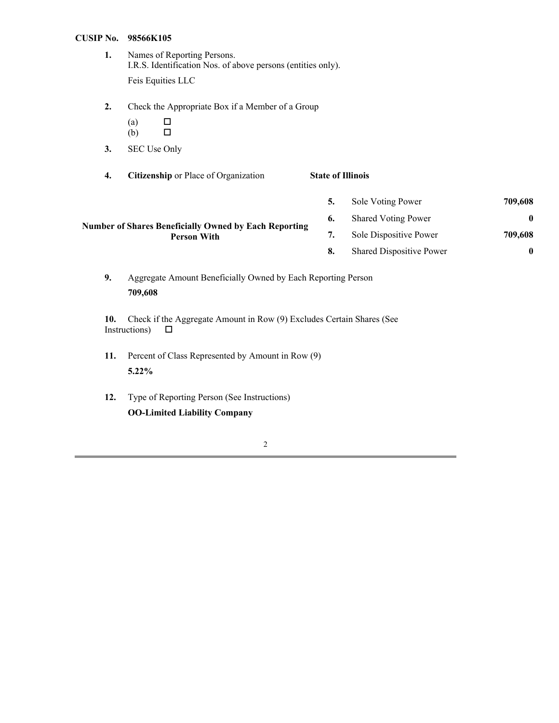#### **CUSIP No. 98566K105**

- Names of Reporting Persons. **1.** I.R.S. Identification Nos. of above persons (entities only). Feis Equities LLC
- Check the Appropriate Box if a Member of a Group **2.**
	- o and the contract of the contract of the contract of the contract of the contract of the contract of the contract of the contract of the contract of the contract of the contract of the contract of the contract of the cont (a)  $\Box$
	- o and the contract of the contract of the contract of the contract of the contract of the contract of the contract of the contract of the contract of the contract of the contract of the contract of the contract of the cont (b) □
- SEC Use Only **3.**
- **State of Illinois 4. Citizenship** or Place of Organization

## **1995 Number of Shares Beneficially Owned by Each Reporting 6.** Shared Voting Power **199,608**<br>**199,608** Person With **199,608 Person With 7.** Sole Dispositive Power **709,608 5.** Sole Voting Power **709,608 6.** Shared Voting Power **0 8.** Shared Dispositive Power **0**

Aggregate Amount Beneficially Owned by Each Reporting Person **9. 709,608**

**10.** Check if the Aggregate Amount in Row (9) Excludes Certain Shares (See Instructions)  $\square$ 

- 11. Percent of Class Represented by Amount in Row (9) **5.22%**
- Type of Reporting Person (See Instructions) **OO-Limited Liability Company 12.**

#### 2 a set of  $\sim$  2 a set of  $\sim$  2 a set of  $\sim$  2 a set of  $\sim$  3 a set of  $\sim$  3 a set of  $\sim$  3 a set of  $\sim$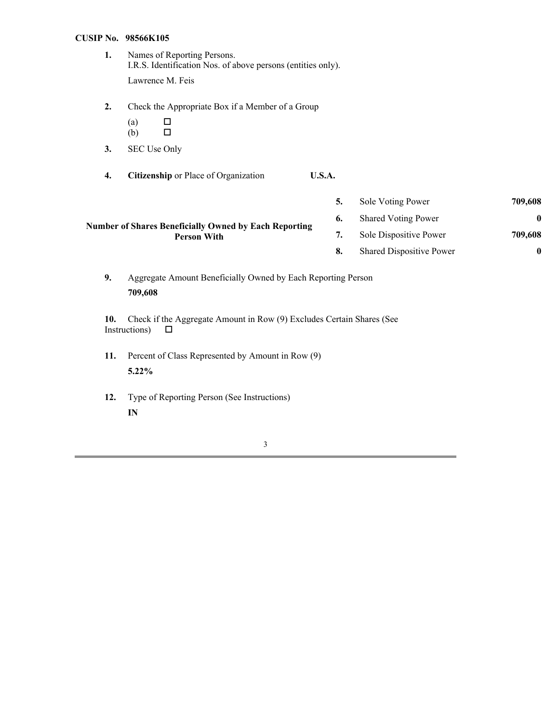#### **CUSIP No. 98566K105**

- Names of Reporting Persons. **1.** I.R.S. Identification Nos. of above persons (entities only). Lawrence M. Feis
- Check the Appropriate Box if a Member of a Group **2.**
	- o and the contract of the contract of the contract of the contract of the contract of the contract of the contract of the contract of the contract of the contract of the contract of the contract of the contract of the cont (a)  $\Box$
	- o and the contract of the contract of the contract of the contract of the contract of the contract of the contract of the contract of the contract of the contract of the contract of the contract of the contract of the cont (b) □
- SEC Use Only **3.**
- **U.S.A. 4. Citizenship** or Place of Organization

| 5. | Sole Voting Power               | 709,608 |
|----|---------------------------------|---------|
| 6. | <b>Shared Voting Power</b>      | 0       |
| 7. | Sole Dispositive Power          | 709,608 |
| 8. | <b>Shared Dispositive Power</b> | 0       |

- **Number of Shares Beneficially Owned by Each Reporting Person With**
	- Aggregate Amount Beneficially Owned by Each Reporting Person **9. 709,608**

**10.** Check if the Aggregate Amount in Row (9) Excludes Certain Shares (See Instructions)  $\square$ 

- 11. Percent of Class Represented by Amount in Row (9) **5.22%**
- Type of Reporting Person (See Instructions) **IN 12.**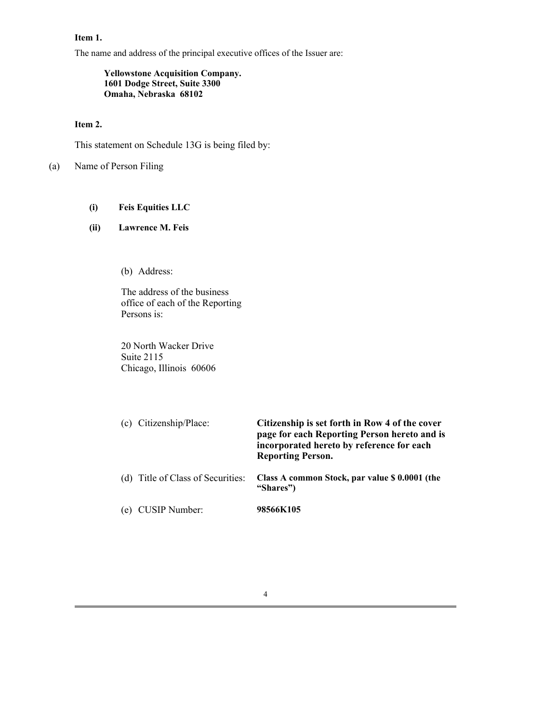### **Item 1.**

The name and address of the principal executive offices of the Issuer are:

**Yellowstone Acquisition Company. 1601 Dodge Street, Suite 3300 Omaha, Nebraska 68102**

## **Item 2.**

This statement on Schedule 13G is being filed by:

Name of Person Filing (a)

**Feis Equities LLC (i)**

#### **Lawrence M. Feis (ii)**

Address: (b)

The address of the business office of each of the Reporting Persons is:

20 North Wacker Drive Suite 2115 Chicago, Illinois 60606

| (c) Citizenship/Place:            | Citizenship is set forth in Row 4 of the cover<br>page for each Reporting Person hereto and is<br>incorporated hereto by reference for each<br><b>Reporting Person.</b> |
|-----------------------------------|-------------------------------------------------------------------------------------------------------------------------------------------------------------------------|
| (d) Title of Class of Securities: | Class A common Stock, par value \$ 0.0001 (the<br>"Shares")                                                                                                             |
| (e) CUSIP Number:                 | 98566K105                                                                                                                                                               |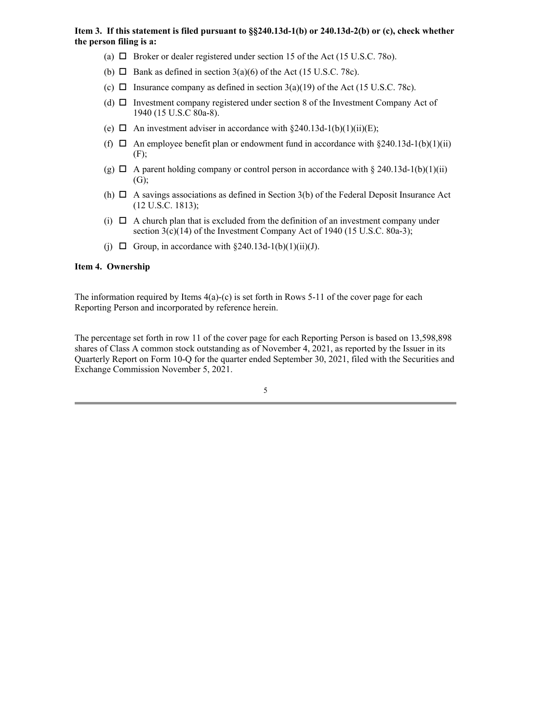#### **Item 3. If this statement is filed pursuant to §§240.13d-1(b) or 240.13d-2(b) or (c), check whether the person filing is a:**

- (a)  $\Box$  Broker or dealer registered under section 15 of the Act (15 U.S.C. 78o).
- (b)  $\Box$  Bank as defined in section 3(a)(6) of the Act (15 U.S.C. 78c).
- (c)  $\Box$  Insurance company as defined in section 3(a)(19) of the Act (15 U.S.C. 78c).
- (d)  $\Box$  Investment company registered under section 8 of the Investment Company Act of 1940 (15 U.S.C 80a-8).
- (e)  $\Box$  An investment adviser in accordance with §240.13d-1(b)(1)(ii)(E);
- (f)  $\Box$  An employee benefit plan or endowment fund in accordance with §240.13d-1(b)(1)(ii)  $(F)$ ;
- (g)  $\Box$  A parent holding company or control person in accordance with § 240.13d-1(b)(1)(ii)  $(G)$ ;
- (h)  $\Box$  A savings associations as defined in Section 3(b) of the Federal Deposit Insurance Act (12 U.S.C. 1813);
- (i)  $\Box$  A church plan that is excluded from the definition of an investment company under section 3(c)(14) of the Investment Company Act of 1940 (15 U.S.C. 80a-3);
- (j)  $\Box$  Group, in accordance with §240.13d-1(b)(1)(ii)(J).

#### **Item 4. Ownership**

The information required by Items  $4(a)-(c)$  is set forth in Rows 5-11 of the cover page for each Reporting Person and incorporated by reference herein.

The percentage set forth in row 11 of the cover page for each Reporting Person is based on 13,598,898 shares of Class A common stock outstanding as of November 4, 2021, as reported by the Issuer in its Quarterly Report on Form 10-Q for the quarter ended September 30, 2021, filed with the Securities and Exchange Commission November 5, 2021.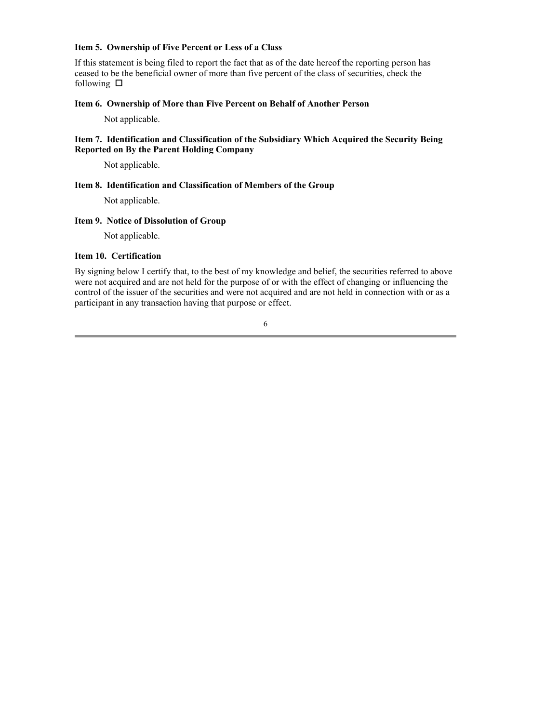#### **Item 5. Ownership of Five Percent or Less of a Class**

If this statement is being filed to report the fact that as of the date hereof the reporting person has ceased to be the beneficial owner of more than five percent of the class of securities, check the following  $\Box$ 

#### **Item 6. Ownership of More than Five Percent on Behalf of Another Person**

Not applicable.

#### **Item 7. Identification and Classification of the Subsidiary Which Acquired the Security Being Reported on By the Parent Holding Company**

Not applicable.

#### **Item 8. Identification and Classification of Members of the Group**

Not applicable.

## **Item 9. Notice of Dissolution of Group**

Not applicable.

## **Item 10. Certification**

By signing below I certify that, to the best of my knowledge and belief, the securities referred to above were not acquired and are not held for the purpose of or with the effect of changing or influencing the control of the issuer of the securities and were not acquired and are not held in connection with or as a participant in any transaction having that purpose or effect.

6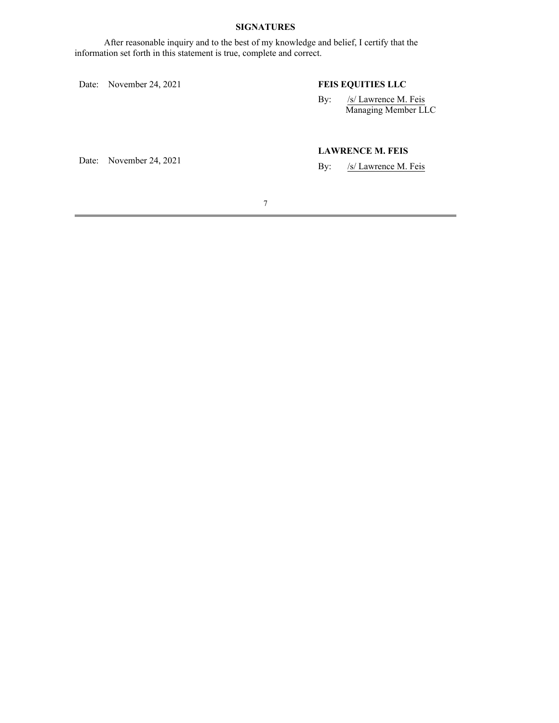## **SIGNATURES**

After reasonable inquiry and to the best of my knowledge and belief, I certify that the information set forth in this statement is true, complete and correct.

Date: November 24, 2021

## **FEIS EQUITIES LLC**

By: /s/ Lawrence M. Feis Managing Member LLC

Date: November 24, 2021

## **LAWRENCE M. FEIS**

/s/ Lawrence M. Feis By: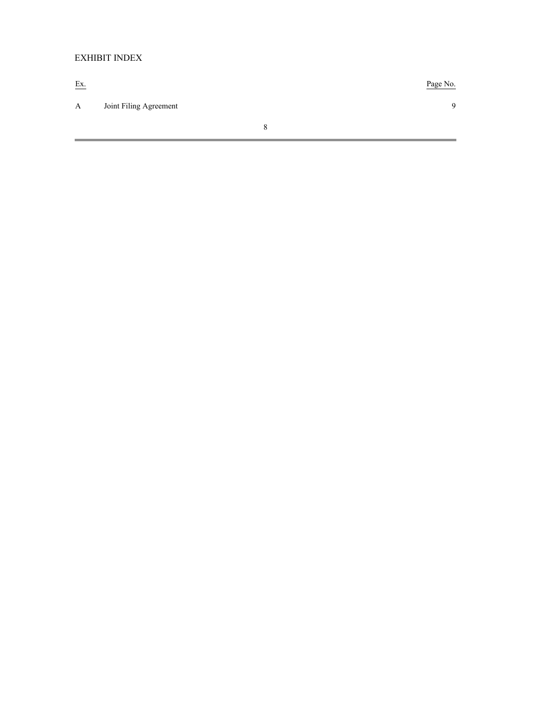## EXHIBIT INDEX

Ex. Page No. A Joint Filing Agreement 9 8